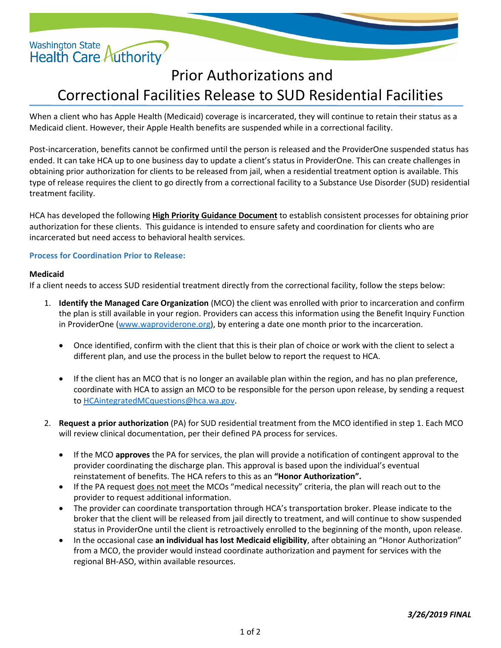

# Prior Authorizations and Correctional Facilities Release to SUD Residential Facilities

When a client who has Apple Health (Medicaid) coverage is incarcerated, they will continue to retain their status as a Medicaid client. However, their Apple Health benefits are suspended while in a correctional facility.

Post-incarceration, benefits cannot be confirmed until the person is released and the ProviderOne suspended status has ended. It can take HCA up to one business day to update a client's status in ProviderOne. This can create challenges in obtaining prior authorization for clients to be released from jail, when a residential treatment option is available. This type of release requires the client to go directly from a correctional facility to a Substance Use Disorder (SUD) residential treatment facility.

HCA has developed the following **High Priority Guidance Document** to establish consistent processes for obtaining prior authorization for these clients. This guidance is intended to ensure safety and coordination for clients who are incarcerated but need access to behavioral health services.

## **Process for Coordination Prior to Release:**

### **Medicaid**

If a client needs to access SUD residential treatment directly from the correctional facility, follow the steps below:

- 1. **Identify the Managed Care Organization** (MCO) the client was enrolled with prior to incarceration and confirm the plan is still available in your region. Providers can access this information using the Benefit Inquiry Function in ProviderOne [\(www.waproviderone.org\)](http://www.waproviderone.org/), by entering a date one month prior to the incarceration.
	- Once identified, confirm with the client that this is their plan of choice or work with the client to select a different plan, and use the process in the bullet below to report the request to HCA.
	- If the client has an MCO that is no longer an available plan within the region, and has no plan preference, coordinate with HCA to assign an MCO to be responsible for the person upon release, by sending a request to [HCAintegratedMCquestions@hca.wa.gov.](mailto:HCAintegratedMCquestions@hca.wa.gov)
- 2. **Request a prior authorization** (PA) for SUD residential treatment from the MCO identified in step 1. Each MCO will review clinical documentation, per their defined PA process for services.
	- If the MCO **approves** the PA for services, the plan will provide a notification of contingent approval to the provider coordinating the discharge plan. This approval is based upon the individual's eventual reinstatement of benefits. The HCA refers to this as an **"Honor Authorization".**
	- If the PA request does not meet the MCOs "medical necessity" criteria, the plan will reach out to the provider to request additional information.
	- The provider can coordinate transportation through HCA's transportation broker. Please indicate to the broker that the client will be released from jail directly to treatment, and will continue to show suspended status in ProviderOne until the client is retroactively enrolled to the beginning of the month, upon release.
	- In the occasional case **an individual has lost Medicaid eligibility**, after obtaining an "Honor Authorization" from a MCO, the provider would instead coordinate authorization and payment for services with the regional BH-ASO, within available resources.